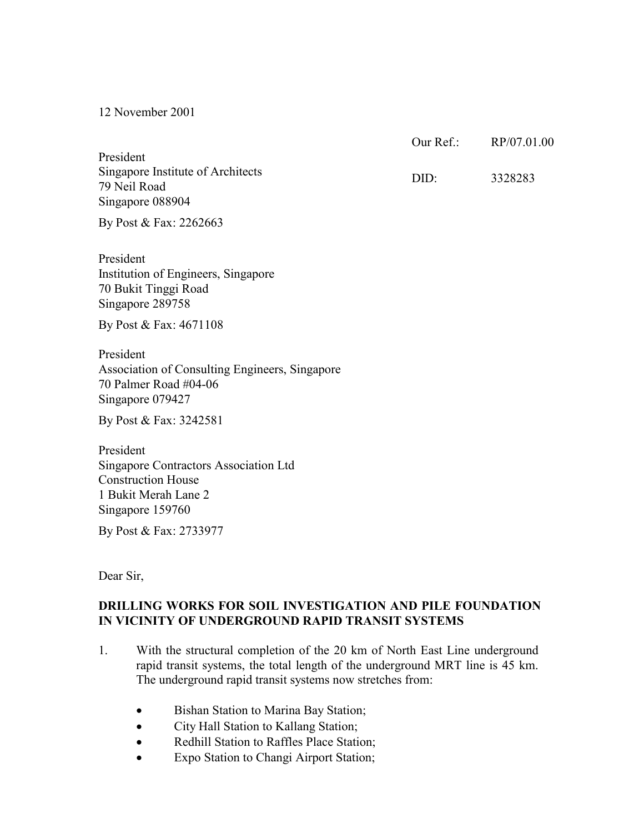12 November 2001

President Singapore Institute of Architects 79 Neil Road Singapore 088904  $Our Ref. RP/07.01.00$ DID: 3328283

By Post & Fax: 2262663

President Institution of Engineers, Singapore 70 Bukit Tinggi Road Singapore 289758

By Post & Fax: 4671108

President Association of Consulting Engineers, Singapore 70 Palmer Road #04-06 Singapore 079427

By Post & Fax: 3242581

President Singapore Contractors Association Ltd Construction House 1 Bukit Merah Lane 2 Singapore 159760

By Post & Fax: 2733977

Dear Sir,

## **DRILLING WORKS FOR SOIL INVESTIGATION AND PILE FOUNDATION IN VICINITY OF UNDERGROUND RAPID TRANSIT SYSTEMS**

- 1. With the structural completion of the 20 km of North East Line underground rapid transit systems, the total length of the underground MRT line is 45 km. The underground rapid transit systems now stretches from:
	- Bishan Station to Marina Bay Station;
	- City Hall Station to Kallang Station;
	- Redhill Station to Raffles Place Station;
	- Expo Station to Changi Airport Station;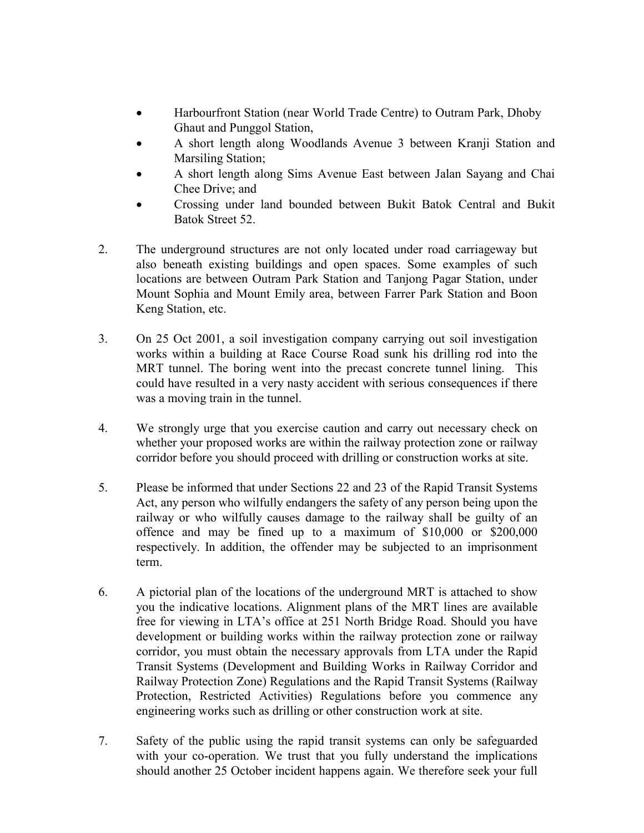- Harbourfront Station (near World Trade Centre) to Outram Park, Dhoby Ghaut and Punggol Station,
- A short length along Woodlands Avenue 3 between Kranji Station and Marsiling Station;
- A short length along Sims Avenue East between Jalan Sayang and Chai Chee Drive; and
- Crossing under land bounded between Bukit Batok Central and Bukit Batok Street 52.
- 2. The underground structures are not only located under road carriageway but also beneath existing buildings and open spaces. Some examples of such locations are between Outram Park Station and Tanjong Pagar Station, under Mount Sophia and Mount Emily area, between Farrer Park Station and Boon Keng Station, etc.
- 3. On 25 Oct 2001, a soil investigation company carrying out soil investigation works within a building at Race Course Road sunk his drilling rod into the MRT tunnel. The boring went into the precast concrete tunnel lining. This could have resulted in a very nasty accident with serious consequences if there was a moving train in the tunnel.
- 4. We strongly urge that you exercise caution and carry out necessary check on whether your proposed works are within the railway protection zone or railway corridor before you should proceed with drilling or construction works at site.
- 5. Please be informed that under Sections 22 and 23 of the Rapid Transit Systems Act, any person who wilfully endangers the safety of any person being upon the railway or who wilfully causes damage to the railway shall be guilty of an offence and may be fined up to a maximum of \$10,000 or \$200,000 respectively. In addition, the offender may be subjected to an imprisonment term.
- 6. A pictorial plan of the locations of the underground MRT is attached to show you the indicative locations. Alignment plans of the MRT lines are available free for viewing in LTA's office at 251 North Bridge Road. Should you have development or building works within the railway protection zone or railway corridor, you must obtain the necessary approvals from LTA under the Rapid Transit Systems (Development and Building Works in Railway Corridor and Railway Protection Zone) Regulations and the Rapid Transit Systems (Railway Protection, Restricted Activities) Regulations before you commence any engineering works such as drilling or other construction work at site.
- 7. Safety of the public using the rapid transit systems can only be safeguarded with your co-operation. We trust that you fully understand the implications should another 25 October incident happens again. We therefore seek your full